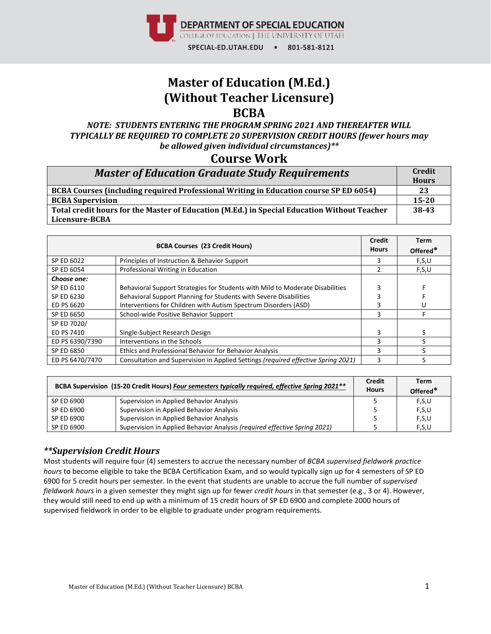

# **Master of Education (M.Ed.) (Without Teacher Licensure) BCBA**

*NOTE: STUDENTS ENTERING THE PROGRAM SPRING 2021 AND THEREAFTER WILL TYPICALLY BE REQUIRED TO COMPLETE 20 SUPERVISION CREDIT HOURS (fewer hours may be allowed given individual circumstances)\*\**

### **Course Work**

| <b>Master of Education Graduate Study Requirements</b>                                      |           |
|---------------------------------------------------------------------------------------------|-----------|
|                                                                                             |           |
| <b>BCBA Supervision</b>                                                                     | $15 - 20$ |
| Total credit hours for the Master of Education (M.Ed.) in Special Education Without Teacher | 38-43     |
| Licensure-BCBA                                                                              |           |

|                 | <b>BCBA Courses (23 Credit Hours)</b>                                             | <b>Credit</b><br><b>Hours</b> | Term<br>Offered* |
|-----------------|-----------------------------------------------------------------------------------|-------------------------------|------------------|
| SP ED 6022      | Principles of Instruction & Behavior Support                                      |                               | F,S,U            |
| SP ED 6054      | Professional Writing in Education                                                 |                               | F,S,U            |
| Choose one:     |                                                                                   |                               |                  |
| SP ED 6110      | Behavioral Support Strategies for Students with Mild to Moderate Disabilities     |                               |                  |
| SP ED 6230      | Behavioral Support Planning for Students with Severe Disabilities                 |                               |                  |
| ED PS 6620      | Interventions for Children with Autism Spectrum Disorders (ASD)                   |                               | U                |
| SP ED 6650      | School-wide Positive Behavior Support                                             | ς                             |                  |
| SP ED 7020/     |                                                                                   |                               |                  |
| ED PS 7410      | Single-Subject Research Design                                                    |                               |                  |
| ED PS 6390/7390 | Interventions in the Schools                                                      | ς                             |                  |
| SP ED 6850      | Ethics and Professional Behavior for Behavior Analysis                            |                               |                  |
| ED PS 6470/7470 | Consultation and Supervision in Applied Settings (required effective Spring 2021) |                               |                  |

|            | BCBA Supervision (15-20 Credit Hours) Four semesters typically required, effective Spring 2021** | <b>Credit</b><br><b>Hours</b> | Term<br>Offered* |
|------------|--------------------------------------------------------------------------------------------------|-------------------------------|------------------|
| SP ED 6900 | Supervision in Applied Behavior Analysis                                                         |                               | F,S,U            |
| SP ED 6900 | Supervision in Applied Behavior Analysis                                                         |                               | F,S,U            |
| SP ED 6900 | Supervision in Applied Behavior Analysis                                                         |                               | F,S,U            |
| SP ED 6900 | Supervision in Applied Behavior Analysis (required effective Spring 2021)                        |                               | F,S,U            |

#### *\*\*Supervision Credit Hours*

Most students will require four (4) semesters to accrue the necessary number of *BCBA supervised fieldwork practice hours* to become eligible to take the BCBA Certification Exam, and so would typically sign up for 4 semesters of SP ED 6900 for 5 credit hours per semester. In the event that students are unable to accrue the full number of *supervised fieldwork hours* in a given semester they might sign up for fewer *credit hours* in that semester (e.g., 3 or 4). However, they would still need to end up with a minimum of 15 credit hours of SP ED 6900 and complete 2000 hours of supervised fieldwork in order to be eligible to graduate under program requirements.